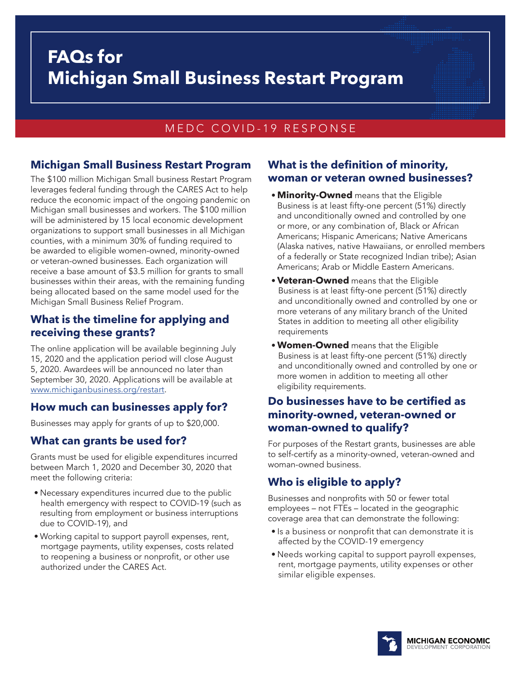# **FAQs for Michigan Small Business Restart Program**

## MEDC COVID-19 RESPONSE

## **Michigan Small Business Restart Program**

The \$100 million Michigan Small business Restart Program leverages federal funding through the CARES Act to help reduce the economic impact of the ongoing pandemic on Michigan small businesses and workers. The \$100 million will be administered by 15 local economic development organizations to support small businesses in all Michigan counties, with a minimum 30% of funding required to be awarded to eligible women-owned, minority-owned or veteran-owned businesses. Each organization will receive a base amount of \$3.5 million for grants to small businesses within their areas, with the remaining funding being allocated based on the same model used for the Michigan Small Business Relief Program.

## **What is the timeline for applying and receiving these grants?**

The online application will be available beginning July 15, 2020 and the application period will close August 5, 2020. Awardees will be announced no later than September 30, 2020. Applications will be available at [www.michiganbusiness.org/restart](http://www.michiganbusiness.org/restart).

## **How much can businesses apply for?**

Businesses may apply for grants of up to \$20,000.

## **What can grants be used for?**

Grants must be used for eligible expenditures incurred between March 1, 2020 and December 30, 2020 that meet the following criteria:

- Necessary expenditures incurred due to the public health emergency with respect to COVID-19 (such as resulting from employment or business interruptions due to COVID-19), and
- Working capital to support payroll expenses, rent, mortgage payments, utility expenses, costs related to reopening a business or nonprofit, or other use authorized under the CARES Act.

#### **What is the definition of minority, woman or veteran owned businesses?**

- **Minority-Owned** means that the Eligible Business is at least fifty-one percent (51%) directly and unconditionally owned and controlled by one or more, or any combination of, Black or African Americans; Hispanic Americans; Native Americans (Alaska natives, native Hawaiians, or enrolled members of a federally or State recognized Indian tribe); Asian Americans; Arab or Middle Eastern Americans.
- **Veteran-Owned** means that the Eligible Business is at least fifty-one percent (51%) directly and unconditionally owned and controlled by one or more veterans of any military branch of the United States in addition to meeting all other eligibility requirements
- **Women-Owned** means that the Eligible Business is at least fifty-one percent (51%) directly and unconditionally owned and controlled by one or more women in addition to meeting all other eligibility requirements.

## **Do businesses have to be certified as minority-owned, veteran-owned or woman-owned to qualify?**

For purposes of the Restart grants, businesses are able to self-certify as a minority-owned, veteran-owned and woman-owned business.

## **Who is eligible to apply?**

Businesses and nonprofits with 50 or fewer total employees – not FTEs – located in the geographic coverage area that can demonstrate the following:

- Is a business or nonprofit that can demonstrate it is affected by the COVID-19 emergency
- Needs working capital to support payroll expenses, rent, mortgage payments, utility expenses or other similar eligible expenses.